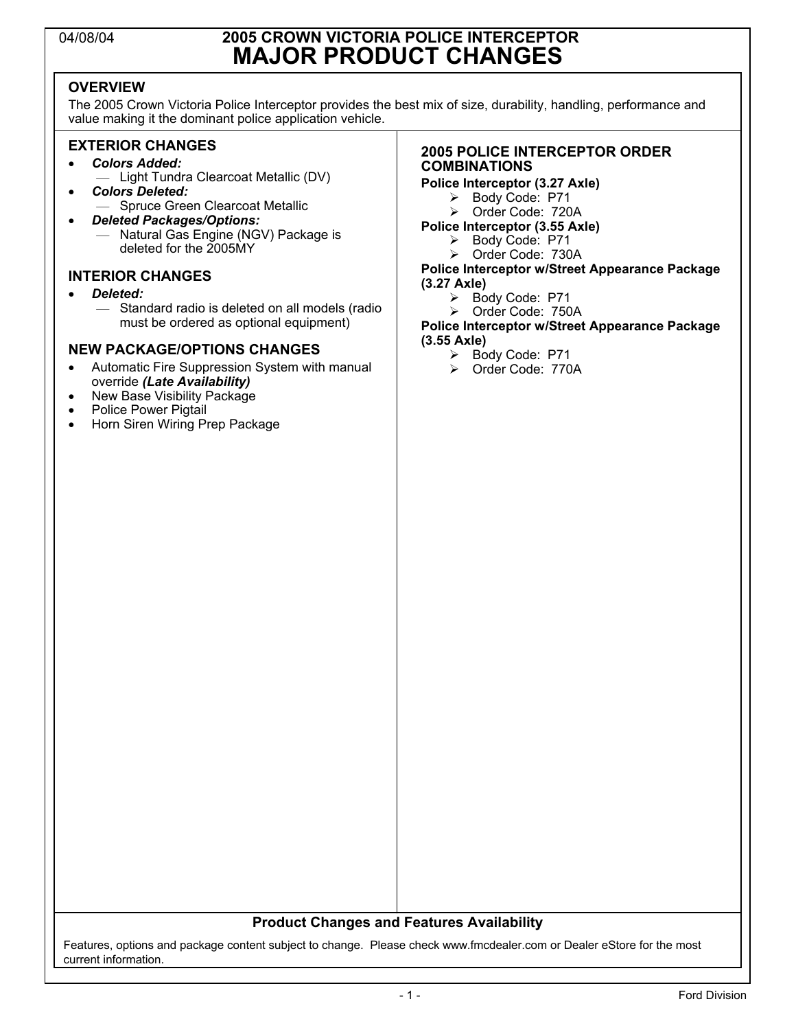### 04/08/04 **2005 CROWN VICTORIA POLICE INTERCEPTOR MAJOR PRODUCT CHANGES**

### **OVERVIEW**

The 2005 Crown Victoria Police Interceptor provides the best mix of size, durability, handling, performance and value making it the dominant police application vehicle.

#### **EXTERIOR CHANGES**

- *Colors Added:* 
	- Light Tundra Clearcoat Metallic (DV)
- *Colors Deleted:* 
	- Spruce Green Clearcoat Metallic
- *Deleted Packages/Options:*  — Natural Gas Engine (NGV) Package is deleted for the 2005MY

#### **INTERIOR CHANGES**

- *Deleted:* 
	- Standard radio is deleted on all models (radio must be ordered as optional equipment)

#### **NEW PACKAGE/OPTIONS CHANGES**

- Automatic Fire Suppression System with manual override *(Late Availability)*
- New Base Visibility Package
- Police Power Pigtail
- Horn Siren Wiring Prep Package

#### **2005 POLICE INTERCEPTOR ORDER COMBINATIONS**

#### **Police Interceptor (3.27 Axle)**

- ¾ Body Code: P71
- ¾ Order Code: 720A
- **Police Interceptor (3.55 Axle)** 
	- ¾ Body Code: P71
	- ¾ Order Code: 730A

#### **Police Interceptor w/Street Appearance Package (3.27 Axle)**

- Body Code: P71
- ¾ Order Code: 750A

#### **Police Interceptor w/Street Appearance Package (3.55 Axle)**

- ¾ Body Code: P71
- ¾ Order Code: 770A

#### **Product Changes and Features Availability**

Features, options and package content subject to change. Please check www.fmcdealer.com or Dealer eStore for the most current information.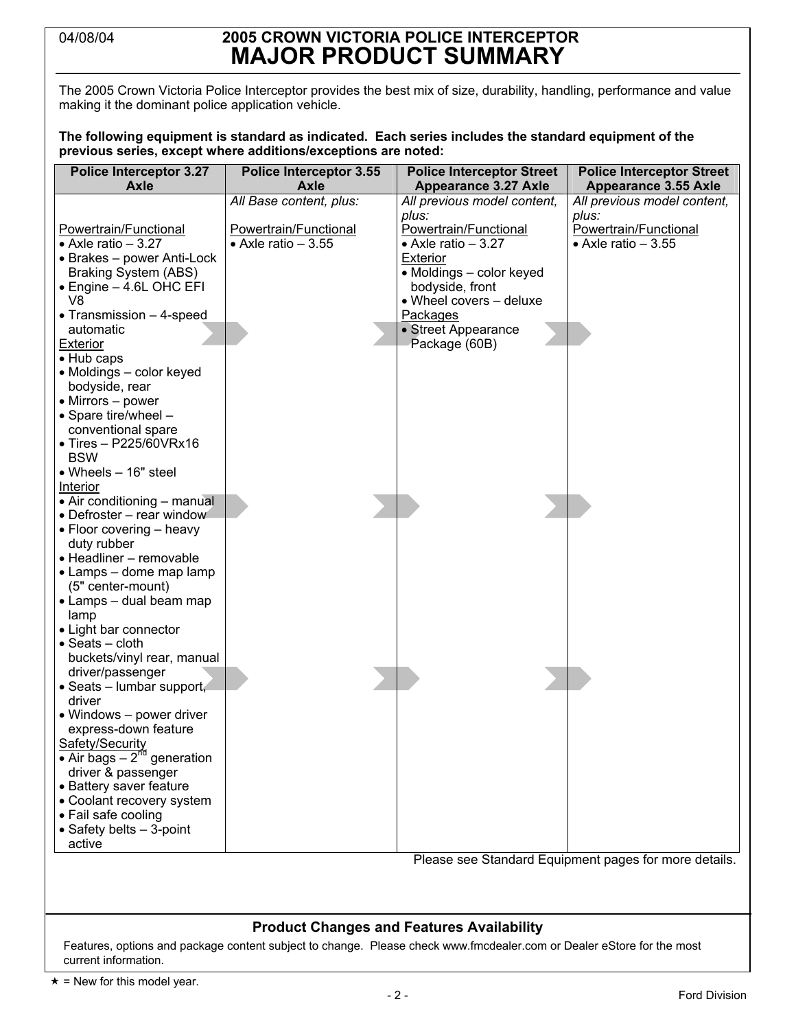### 04/08/04 **2005 CROWN VICTORIA POLICE INTERCEPTOR MAJOR PRODUCT SUMMARY**

The 2005 Crown Victoria Police Interceptor provides the best mix of size, durability, handling, performance and value making it the dominant police application vehicle.

**The following equipment is standard as indicated. Each series includes the standard equipment of the previous series, except where additions/exceptions are noted:** 

| <b>Police Interceptor 3.27</b><br><b>Axle</b> | <b>Police Interceptor 3.55</b><br><b>Axle</b>         |  | <b>Police Interceptor Street</b><br><b>Appearance 3.27 Axle</b> |  | <b>Police Interceptor Street</b><br><b>Appearance 3.55 Axle</b> |
|-----------------------------------------------|-------------------------------------------------------|--|-----------------------------------------------------------------|--|-----------------------------------------------------------------|
|                                               | All Base content, plus:                               |  | All previous model content,                                     |  | All previous model content,                                     |
|                                               |                                                       |  | plus:                                                           |  | plus:                                                           |
| Powertrain/Functional                         | Powertrain/Functional                                 |  | Powertrain/Functional                                           |  | Powertrain/Functional                                           |
| • Axle ratio $-3.27$                          | $\bullet$ Axle ratio - 3.55                           |  | $\bullet$ Axle ratio - 3.27                                     |  | • Axle ratio $-3.55$                                            |
| • Brakes - power Anti-Lock                    |                                                       |  | Exterior                                                        |  |                                                                 |
| Braking System (ABS)                          |                                                       |  | • Moldings - color keyed                                        |  |                                                                 |
| • Engine - 4.6L OHC EFI                       |                                                       |  | bodyside, front                                                 |  |                                                                 |
| V8                                            |                                                       |  | • Wheel covers - deluxe                                         |  |                                                                 |
| • Transmission - 4-speed                      |                                                       |  | Packages                                                        |  |                                                                 |
| automatic                                     |                                                       |  | • Street Appearance                                             |  |                                                                 |
| <b>Exterior</b>                               |                                                       |  | Package (60B)                                                   |  |                                                                 |
| • Hub caps                                    |                                                       |  |                                                                 |  |                                                                 |
| • Moldings – color keyed                      |                                                       |  |                                                                 |  |                                                                 |
| bodyside, rear                                |                                                       |  |                                                                 |  |                                                                 |
| • Mirrors - power                             |                                                       |  |                                                                 |  |                                                                 |
| • Spare tire/wheel -                          |                                                       |  |                                                                 |  |                                                                 |
| conventional spare                            |                                                       |  |                                                                 |  |                                                                 |
| $\bullet$ Tires - P225/60VRx16                |                                                       |  |                                                                 |  |                                                                 |
| <b>BSW</b>                                    |                                                       |  |                                                                 |  |                                                                 |
| $\bullet$ Wheels $-$ 16" steel                |                                                       |  |                                                                 |  |                                                                 |
| Interior                                      |                                                       |  |                                                                 |  |                                                                 |
| • Air conditioning - manual                   |                                                       |  |                                                                 |  |                                                                 |
| • Defroster - rear window                     |                                                       |  |                                                                 |  |                                                                 |
| • Floor covering - heavy                      |                                                       |  |                                                                 |  |                                                                 |
| duty rubber                                   |                                                       |  |                                                                 |  |                                                                 |
| • Headliner - removable                       |                                                       |  |                                                                 |  |                                                                 |
| • Lamps – dome map lamp                       |                                                       |  |                                                                 |  |                                                                 |
| (5" center-mount)                             |                                                       |  |                                                                 |  |                                                                 |
| • Lamps - dual beam map                       |                                                       |  |                                                                 |  |                                                                 |
| lamp                                          |                                                       |  |                                                                 |  |                                                                 |
| • Light bar connector                         |                                                       |  |                                                                 |  |                                                                 |
| $\bullet$ Seats - cloth                       |                                                       |  |                                                                 |  |                                                                 |
| buckets/vinyl rear, manual                    |                                                       |  |                                                                 |  |                                                                 |
| driver/passenger                              |                                                       |  |                                                                 |  |                                                                 |
| • Seats – lumbar support,                     |                                                       |  |                                                                 |  |                                                                 |
| driver                                        |                                                       |  |                                                                 |  |                                                                 |
| • Windows – power driver                      |                                                       |  |                                                                 |  |                                                                 |
| express-down feature                          |                                                       |  |                                                                 |  |                                                                 |
| Safety/Security                               |                                                       |  |                                                                 |  |                                                                 |
| • Air bags $-2^{nd}$ generation               |                                                       |  |                                                                 |  |                                                                 |
| driver & passenger                            |                                                       |  |                                                                 |  |                                                                 |
| • Battery saver feature                       |                                                       |  |                                                                 |  |                                                                 |
| • Coolant recovery system                     |                                                       |  |                                                                 |  |                                                                 |
| • Fail safe cooling                           |                                                       |  |                                                                 |  |                                                                 |
| • Safety belts - 3-point                      |                                                       |  |                                                                 |  |                                                                 |
| active                                        |                                                       |  |                                                                 |  |                                                                 |
|                                               | Please see Standard Equipment pages for more details. |  |                                                                 |  |                                                                 |
|                                               |                                                       |  |                                                                 |  |                                                                 |
|                                               |                                                       |  |                                                                 |  |                                                                 |
|                                               |                                                       |  |                                                                 |  |                                                                 |
|                                               |                                                       |  | <b>Product Changes and Features Availability</b>                |  |                                                                 |

Features, options and package content subject to change. Please check www.fmcdealer.com or Dealer eStore for the most current information.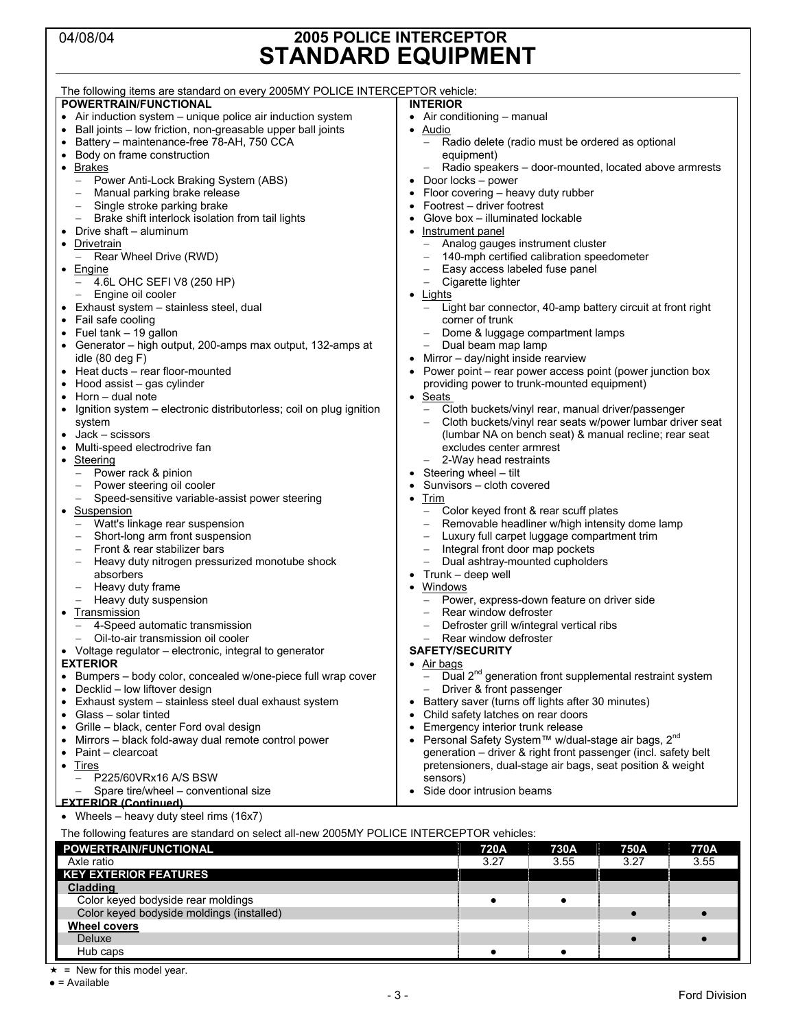### 04/08/04 **2005 POLICE INTERCEPTOR STANDARD EQUIPMENT**

| The following items are standard on every 2005MY POLICE INTERCEPTOR vehicle:              |                                                                                    |
|-------------------------------------------------------------------------------------------|------------------------------------------------------------------------------------|
| POWERTRAIN/FUNCTIONAL                                                                     | <b>INTERIOR</b>                                                                    |
| • Air induction system – unique police air induction system                               | • Air conditioning - manual                                                        |
| Ball joints - low friction, non-greasable upper ball joints                               | • Audio                                                                            |
| • Battery - maintenance-free 78-AH, 750 CCA                                               | Radio delete (radio must be ordered as optional<br>$\overline{\phantom{0}}$        |
| Body on frame construction<br>٠                                                           | equipment)                                                                         |
| • Brakes                                                                                  | Radio speakers - door-mounted, located above armrests<br>$\overline{\phantom{m}}$  |
| Power Anti-Lock Braking System (ABS)<br>$\overline{\phantom{0}}$                          | Door locks - power                                                                 |
|                                                                                           |                                                                                    |
| Manual parking brake release                                                              | Floor covering - heavy duty rubber<br>Footrest - driver footrest                   |
| Single stroke parking brake<br>$-$                                                        |                                                                                    |
| Brake shift interlock isolation from tail lights                                          | Glove box - illuminated lockable                                                   |
| Drive shaft – aluminum                                                                    | <b>Instrument panel</b>                                                            |
| • Drivetrain                                                                              | Analog gauges instrument cluster<br>$ \,$                                          |
| Rear Wheel Drive (RWD)<br>$\overline{\phantom{0}}$                                        | 140-mph certified calibration speedometer                                          |
| $\bullet$ Engine                                                                          | Easy access labeled fuse panel                                                     |
| 4.6L OHC SEFI V8 (250 HP)                                                                 | - Cigarette lighter                                                                |
| Engine oil cooler                                                                         | $\bullet$ Lights                                                                   |
| • Exhaust system - stainless steel, dual                                                  | - Light bar connector, 40-amp battery circuit at front right                       |
| Fail safe cooling                                                                         | corner of trunk                                                                    |
| Fuel tank - 19 gallon                                                                     | Dome & luggage compartment lamps                                                   |
| • Generator – high output, 200-amps max output, 132-amps at                               | Dual beam map lamp<br>$\qquad \qquad -$                                            |
| idle $(80$ deg $F)$                                                                       | Mirror - day/night inside rearview                                                 |
| Heat ducts – rear floor-mounted                                                           | Power point – rear power access point (power junction box                          |
| Hood assist – gas cylinder<br>٠                                                           | providing power to trunk-mounted equipment)                                        |
| Horn - dual note                                                                          | • Seats                                                                            |
| Ignition system – electronic distributorless; coil on plug ignition                       | Cloth buckets/vinyl rear, manual driver/passenger<br>$\qquad \qquad -$             |
| system                                                                                    | Cloth buckets/vinyl rear seats w/power lumbar driver seat                          |
| $\bullet$ Jack – scissors                                                                 | (lumbar NA on bench seat) & manual recline; rear seat                              |
|                                                                                           | excludes center armrest                                                            |
| Multi-speed electrodrive fan<br>$\bullet$                                                 |                                                                                    |
| Steering                                                                                  | 2-Way head restraints<br>$-$                                                       |
| Power rack & pinion<br>$\overline{\phantom{0}}$                                           | • Steering wheel $-$ tilt                                                          |
| Power steering oil cooler                                                                 | Sunvisors - cloth covered                                                          |
| Speed-sensitive variable-assist power steering<br>$\overline{\phantom{0}}$                | Trim                                                                               |
| • Suspension                                                                              | - Color keyed front & rear scuff plates                                            |
| - Watt's linkage rear suspension                                                          | Removable headliner w/high intensity dome lamp                                     |
| Short-long arm front suspension                                                           | Luxury full carpet luggage compartment trim                                        |
| Front & rear stabilizer bars                                                              | Integral front door map pockets<br>$\qquad \qquad -$                               |
| Heavy duty nitrogen pressurized monotube shock                                            | Dual ashtray-mounted cupholders                                                    |
| absorbers                                                                                 | $\bullet$ Trunk – deep well                                                        |
| Heavy duty frame                                                                          | Windows                                                                            |
| Heavy duty suspension<br>$\qquad \qquad -$                                                | Power, express-down feature on driver side                                         |
| • Transmission                                                                            | Rear window defroster                                                              |
| 4-Speed automatic transmission                                                            | Defroster grill w/integral vertical ribs                                           |
| Oil-to-air transmission oil cooler                                                        | Rear window defroster                                                              |
|                                                                                           |                                                                                    |
| • Voltage regulator – electronic, integral to generator                                   | <b>SAFETY/SECURITY</b>                                                             |
| <b>EXTERIOR</b>                                                                           | <u>Air bags</u>                                                                    |
| • Bumpers - body color, concealed w/one-piece full wrap cover                             | $\overline{-}$ Dual 2 <sup>nd</sup> generation front supplemental restraint system |
| • Decklid - low liftover design                                                           | Driver & front passenger                                                           |
| Exhaust system - stainless steel dual exhaust system                                      | Battery saver (turns off lights after 30 minutes)                                  |
| • Glass $-$ solar tinted                                                                  | Child safety latches on rear doors                                                 |
| • Grille - black, center Ford oval design                                                 | Emergency interior trunk release                                                   |
| Mirrors - black fold-away dual remote control power                                       | • Personal Safety System™ w/dual-stage air bags, 2 <sup>nd</sup>                   |
| Paint - clearcoat<br>٠                                                                    | generation - driver & right front passenger (incl. safety belt                     |
| Tires                                                                                     | pretensioners, dual-stage air bags, seat position & weight                         |
| P225/60VRx16 A/S BSW<br>$\overline{\phantom{0}}$                                          | sensors)                                                                           |
| Spare tire/wheel - conventional size                                                      | • Side door intrusion beams                                                        |
| <b>EXTERIOR (Continued)</b>                                                               |                                                                                    |
| • Wheels – heavy duty steel rims $(16x7)$                                                 |                                                                                    |
|                                                                                           |                                                                                    |
| The following features are standard on select all-new 2005MY POLICE INTERCEPTOR vehicles: |                                                                                    |
| POWERTRAIN/FUNCTIONAL                                                                     | 720A<br>750A<br>770A<br>730A                                                       |
| Axle ratio                                                                                | 3.27<br>3.55<br>3.27<br>3.55                                                       |
| <b>KEY EXTERIOR FEATURES</b>                                                              |                                                                                    |
| <b>Cladding</b>                                                                           |                                                                                    |
| Color keyed bodyside rear moldings                                                        | $\bullet$                                                                          |
| Color keyed bodyside moldings (installed)                                                 | $\bullet$                                                                          |
|                                                                                           |                                                                                    |
| <b>Wheel covers</b>                                                                       |                                                                                    |
| Deluxe                                                                                    | $\bullet$                                                                          |

 $\star$  = New for this model year.

 $\bullet$  = Available

Hub caps  $\qquad \qquad \bullet \qquad \qquad \bullet \qquad \qquad \bullet \qquad \bullet$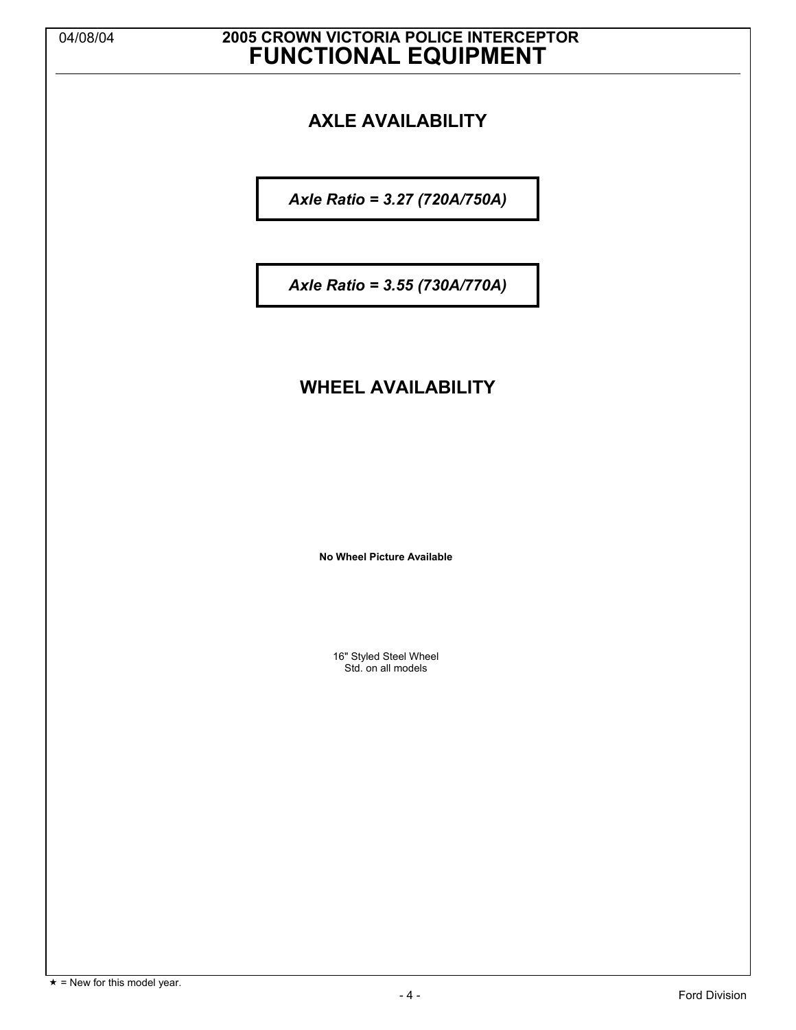## 04/08/04 **2005 CROWN VICTORIA POLICE INTERCEPTOR FUNCTIONAL EQUIPMENT**

## **AXLE AVAILABILITY**

*Axle Ratio = 3.27 (720A/750A)* 

*Axle Ratio = 3.55 (730A/770A)* 

### **WHEEL AVAILABILITY**

 **No Wheel Picture Available** 

16" Styled Steel Wheel Std. on all models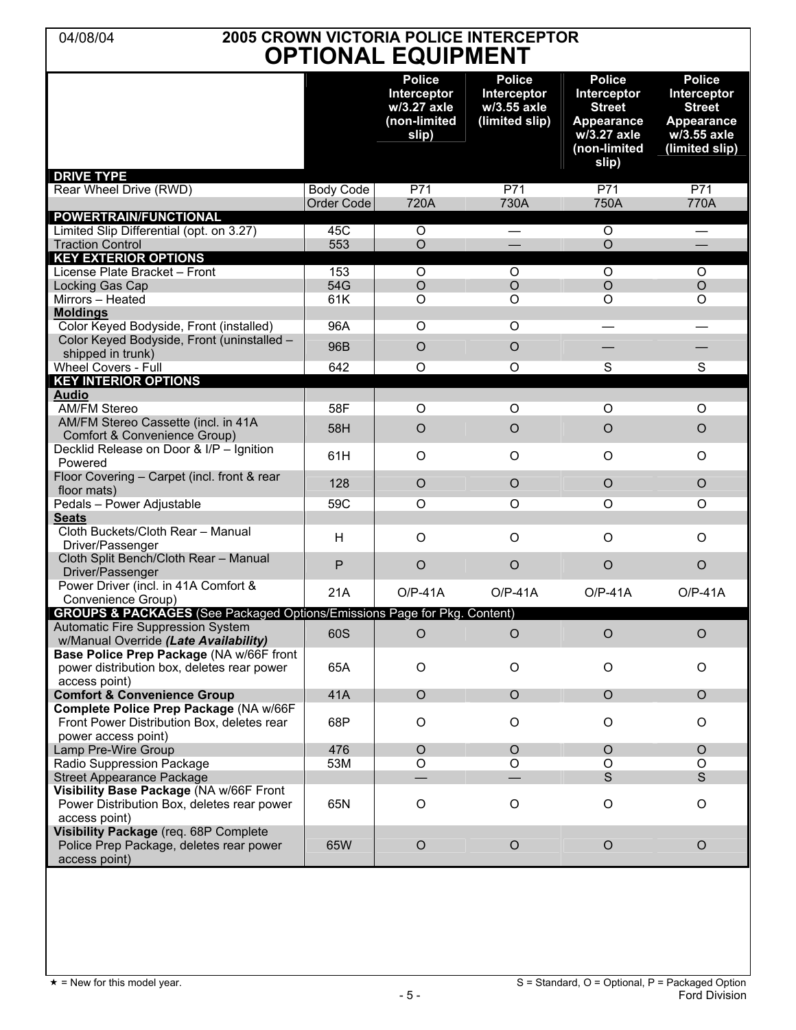### 04/08/04 **2005 CROWN VICTORIA POLICE INTERCEPTOR OPTIONAL EQUIPMENT**

| VГ                                                                                   |                                       | I IVINAL LWUIF MLITI                                                 |                                                               |                                                                                                            |                                                                                                     |
|--------------------------------------------------------------------------------------|---------------------------------------|----------------------------------------------------------------------|---------------------------------------------------------------|------------------------------------------------------------------------------------------------------------|-----------------------------------------------------------------------------------------------------|
| <b>DRIVE TYPE</b>                                                                    |                                       | <b>Police</b><br>Interceptor<br>w/3.27 axle<br>(non-limited<br>slip) | <b>Police</b><br>Interceptor<br>w/3.55 axle<br>(limited slip) | <b>Police</b><br>Interceptor<br><b>Street</b><br><b>Appearance</b><br>w/3.27 axle<br>(non-limited<br>slip) | <b>Police</b><br>Interceptor<br><b>Street</b><br><b>Appearance</b><br>w/3.55 axle<br>(limited slip) |
| Rear Wheel Drive (RWD)                                                               | <b>Body Code</b><br><b>Order Code</b> | P71<br>720A                                                          | P71<br>730A                                                   | P71<br>750A                                                                                                | P71<br>770A                                                                                         |
| <b>POWERTRAIN/FUNCTIONAL</b>                                                         |                                       |                                                                      |                                                               |                                                                                                            |                                                                                                     |
| Limited Slip Differential (opt. on 3.27)                                             | 45C                                   | $\overline{O}$                                                       |                                                               | O                                                                                                          |                                                                                                     |
| <b>Traction Control</b>                                                              | 553                                   | $\circ$                                                              |                                                               | $\circ$                                                                                                    |                                                                                                     |
| <b>KEY EXTERIOR OPTIONS</b>                                                          |                                       |                                                                      |                                                               |                                                                                                            |                                                                                                     |
| License Plate Bracket - Front                                                        | 153                                   | $\overline{O}$                                                       | O                                                             | O                                                                                                          | O                                                                                                   |
|                                                                                      | 54G                                   | $\circ$                                                              | $\circ$                                                       | $\circ$                                                                                                    |                                                                                                     |
| Locking Gas Cap                                                                      |                                       |                                                                      |                                                               |                                                                                                            | $\circ$                                                                                             |
| Mirrors - Heated                                                                     | 61K                                   | O                                                                    | O                                                             | O                                                                                                          | O                                                                                                   |
| <b>Moldings</b>                                                                      |                                       |                                                                      |                                                               |                                                                                                            |                                                                                                     |
| Color Keyed Bodyside, Front (installed)                                              | 96A                                   | O                                                                    | O                                                             |                                                                                                            |                                                                                                     |
| Color Keyed Bodyside, Front (uninstalled -                                           | 96B                                   | $\circ$                                                              | $\circ$                                                       |                                                                                                            |                                                                                                     |
| shipped in trunk)                                                                    |                                       |                                                                      |                                                               |                                                                                                            |                                                                                                     |
| <b>Wheel Covers - Full</b>                                                           | 642                                   | $\overline{O}$                                                       | O                                                             | S                                                                                                          | $\overline{\mathsf{s}}$                                                                             |
| <b>KEY INTERIOR OPTIONS</b><br><b>Audio</b>                                          |                                       |                                                                      |                                                               |                                                                                                            |                                                                                                     |
| <b>AM/FM Stereo</b>                                                                  | 58F                                   | O                                                                    | O                                                             | O                                                                                                          | O                                                                                                   |
|                                                                                      |                                       |                                                                      |                                                               |                                                                                                            |                                                                                                     |
| AM/FM Stereo Cassette (incl. in 41A<br>Comfort & Convenience Group)                  | 58H                                   | $\circ$                                                              | $\circ$                                                       | $\circ$                                                                                                    | $\circ$                                                                                             |
| Decklid Release on Door & I/P - Ignition                                             |                                       |                                                                      |                                                               |                                                                                                            |                                                                                                     |
| Powered                                                                              | 61H                                   | $\circ$                                                              | $\circ$                                                       | $\circ$                                                                                                    | $\circ$                                                                                             |
| Floor Covering - Carpet (incl. front & rear                                          |                                       |                                                                      |                                                               |                                                                                                            |                                                                                                     |
| floor mats)                                                                          | 128                                   | $\circ$                                                              | $\circ$                                                       | $\circ$                                                                                                    | $\circ$                                                                                             |
| Pedals - Power Adjustable                                                            | 59C                                   | $\overline{O}$                                                       | O                                                             | O                                                                                                          | O                                                                                                   |
| <b>Seats</b>                                                                         |                                       |                                                                      |                                                               |                                                                                                            |                                                                                                     |
| Cloth Buckets/Cloth Rear - Manual<br>Driver/Passenger                                | H                                     | O                                                                    | O                                                             | O                                                                                                          | $\circ$                                                                                             |
| Cloth Split Bench/Cloth Rear - Manual                                                |                                       |                                                                      |                                                               |                                                                                                            |                                                                                                     |
| Driver/Passenger                                                                     | P                                     | $\circ$                                                              | $\circ$                                                       | $\circ$                                                                                                    | $\bigcirc$                                                                                          |
| Power Driver (incl. in 41A Comfort &                                                 |                                       |                                                                      |                                                               |                                                                                                            |                                                                                                     |
| Convenience Group)                                                                   | 21A                                   | $O/P-41A$                                                            | $O/P-41A$                                                     | $O/P-41A$                                                                                                  | $O/P-41A$                                                                                           |
| <b>GROUPS &amp; PACKAGES</b> (See Packaged Options/Emissions Page for Pkg. Content)  |                                       |                                                                      |                                                               |                                                                                                            |                                                                                                     |
| Automatic Fire Suppression System                                                    | 60S                                   | $\circ$                                                              | $\circ$                                                       | $\circ$                                                                                                    | $\circ$                                                                                             |
| w/Manual Override (Late Availability)                                                |                                       |                                                                      |                                                               |                                                                                                            |                                                                                                     |
| Base Police Prep Package (NA w/66F front                                             |                                       |                                                                      |                                                               |                                                                                                            |                                                                                                     |
| power distribution box, deletes rear power                                           | 65A                                   | O                                                                    | O                                                             | O                                                                                                          | O                                                                                                   |
| access point)                                                                        |                                       |                                                                      |                                                               |                                                                                                            |                                                                                                     |
| <b>Comfort &amp; Convenience Group</b>                                               | 41A                                   | $\circ$                                                              | $\overline{O}$                                                | $\circ$                                                                                                    | $\circ$                                                                                             |
| Complete Police Prep Package (NA w/66F<br>Front Power Distribution Box, deletes rear | 68P                                   | $\circ$                                                              | O                                                             | $\mathsf O$                                                                                                | O                                                                                                   |
| power access point)                                                                  |                                       |                                                                      |                                                               |                                                                                                            |                                                                                                     |
| Lamp Pre-Wire Group                                                                  | 476                                   | $\circ$                                                              | $\circ$                                                       | $\circ$                                                                                                    | $\circ$                                                                                             |
| Radio Suppression Package                                                            | 53M                                   | O                                                                    | O                                                             | O                                                                                                          | O                                                                                                   |
| <b>Street Appearance Package</b>                                                     |                                       |                                                                      |                                                               | S                                                                                                          | S                                                                                                   |
| Visibility Base Package (NA w/66F Front                                              |                                       |                                                                      |                                                               |                                                                                                            |                                                                                                     |
| Power Distribution Box, deletes rear power<br>access point)                          | 65N                                   | O                                                                    | O                                                             | O                                                                                                          | O                                                                                                   |
| Visibility Package (req. 68P Complete                                                |                                       |                                                                      |                                                               |                                                                                                            |                                                                                                     |
| Police Prep Package, deletes rear power<br>access point)                             | 65W                                   | $\circ$                                                              | $\circ$                                                       | $\circ$                                                                                                    | $\circ$                                                                                             |
|                                                                                      |                                       |                                                                      |                                                               |                                                                                                            |                                                                                                     |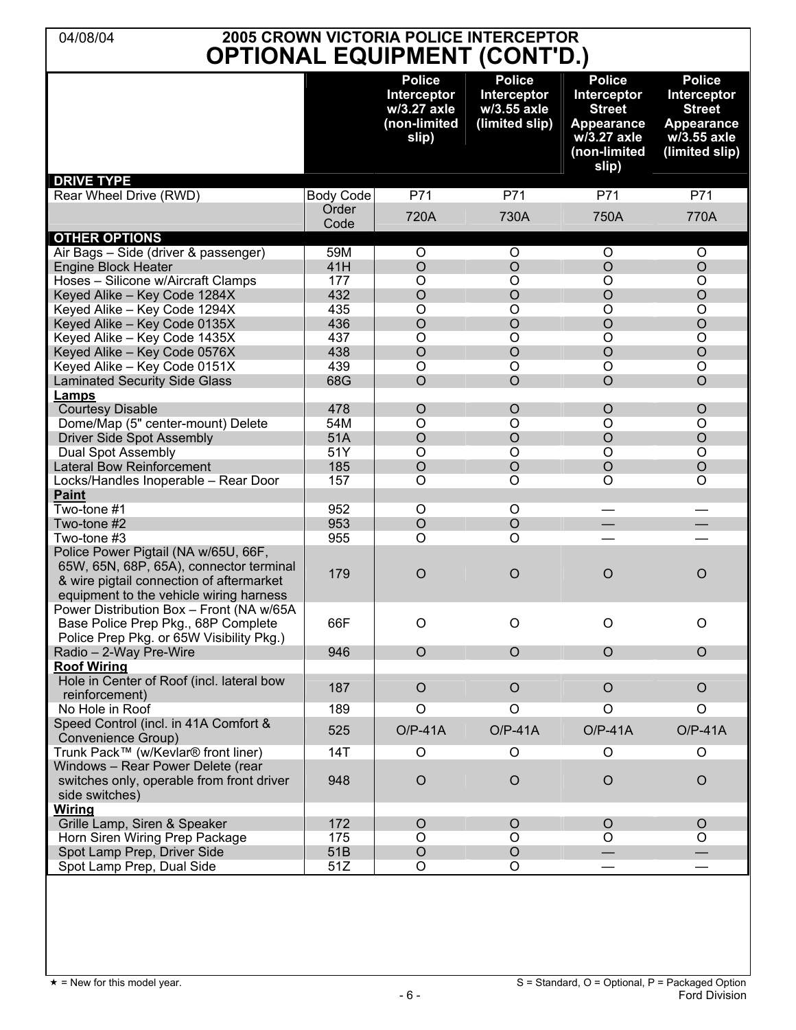| 2005 CROWN VICTORIA POLICE INTERCEPTOR<br>04/08/04<br><b>OPTIONAL EQUIPMENT (CONT'D.)</b>                                                                              |                  |                                                                      |                                                               |                                                                                                                   |                                                                                                     |
|------------------------------------------------------------------------------------------------------------------------------------------------------------------------|------------------|----------------------------------------------------------------------|---------------------------------------------------------------|-------------------------------------------------------------------------------------------------------------------|-----------------------------------------------------------------------------------------------------|
| <b>DRIVE TYPE</b>                                                                                                                                                      |                  | <b>Police</b><br>Interceptor<br>w/3.27 axle<br>(non-limited<br>slip) | <b>Police</b><br>Interceptor<br>w/3.55 axle<br>(limited slip) | <b>Police</b><br><b>Interceptor</b><br><b>Street</b><br><b>Appearance</b><br>w/3.27 axle<br>(non-limited<br>slip) | <b>Police</b><br>Interceptor<br><b>Street</b><br><b>Appearance</b><br>w/3.55 axle<br>(limited slip) |
| Rear Wheel Drive (RWD)                                                                                                                                                 | <b>Body Code</b> | P71                                                                  | P71                                                           | P71                                                                                                               | P71                                                                                                 |
|                                                                                                                                                                        | Order<br>Code    | 720A                                                                 | 730A                                                          | 750A                                                                                                              | 770A                                                                                                |
| <b>OTHER OPTIONS</b>                                                                                                                                                   |                  |                                                                      |                                                               |                                                                                                                   |                                                                                                     |
| Air Bags - Side (driver & passenger)                                                                                                                                   | 59M              | O                                                                    | O                                                             | O                                                                                                                 | O                                                                                                   |
| <b>Engine Block Heater</b>                                                                                                                                             | 41H<br>177       | $\circ$<br>O                                                         | $\circ$<br>O                                                  | $\circ$<br>O                                                                                                      | $\circ$                                                                                             |
| Hoses - Silicone w/Aircraft Clamps<br>Keyed Alike - Key Code 1284X                                                                                                     | 432              | $\circ$                                                              | $\circ$                                                       | $\circ$                                                                                                           | O<br>$\circ$                                                                                        |
| Keyed Alike - Key Code 1294X                                                                                                                                           | 435              | $\circ$                                                              | O                                                             | O                                                                                                                 | O                                                                                                   |
| Keyed Alike - Key Code 0135X                                                                                                                                           | 436              | $\circ$                                                              | $\circ$                                                       | $\circ$                                                                                                           | O                                                                                                   |
| Keyed Alike - Key Code 1435X                                                                                                                                           | 437              | O                                                                    | O                                                             | O                                                                                                                 | O                                                                                                   |
| Keyed Alike - Key Code 0576X                                                                                                                                           | 438              | $\circ$                                                              | $\circ$                                                       | $\circ$                                                                                                           | $\circ$                                                                                             |
| Keyed Alike - Key Code 0151X                                                                                                                                           | 439              | O                                                                    | O                                                             | O                                                                                                                 | O                                                                                                   |
| <b>Laminated Security Side Glass</b>                                                                                                                                   | 68G              | $\circ$                                                              | $\circ$                                                       | $\circ$                                                                                                           | $\circ$                                                                                             |
| Lamps                                                                                                                                                                  |                  |                                                                      |                                                               |                                                                                                                   |                                                                                                     |
| <b>Courtesy Disable</b>                                                                                                                                                | 478              | $\circ$                                                              | $\circ$                                                       | O                                                                                                                 | O                                                                                                   |
| Dome/Map (5" center-mount) Delete                                                                                                                                      | 54M              | $\circ$                                                              | $\circ$                                                       | O                                                                                                                 | O                                                                                                   |
| <b>Driver Side Spot Assembly</b>                                                                                                                                       | 51A              | $\circ$                                                              | $\circ$                                                       | $\circ$                                                                                                           | $\circ$                                                                                             |
| Dual Spot Assembly                                                                                                                                                     | 51Y              | O                                                                    | O                                                             | O                                                                                                                 | O                                                                                                   |
| Lateral Bow Reinforcement                                                                                                                                              | 185              | $\circ$                                                              | $\circ$                                                       | $\circ$                                                                                                           | $\circ$                                                                                             |
| Locks/Handles Inoperable - Rear Door                                                                                                                                   | 157              | O                                                                    | $\circ$                                                       | O                                                                                                                 | O                                                                                                   |
| <b>Paint</b>                                                                                                                                                           |                  |                                                                      |                                                               |                                                                                                                   |                                                                                                     |
| Two-tone #1                                                                                                                                                            | 952              | O                                                                    | O                                                             |                                                                                                                   |                                                                                                     |
| Two-tone #2<br>Two-tone #3                                                                                                                                             | 953<br>955       | $\circ$<br>O                                                         | $\circ$<br>O                                                  |                                                                                                                   |                                                                                                     |
| Police Power Pigtail (NA w/65U, 66F,<br>65W, 65N, 68P, 65A), connector terminal<br>& wire pigtail connection of aftermarket<br>equipment to the vehicle wiring harness | 179              | $\circ$                                                              | $\circ$                                                       | $\circ$                                                                                                           | $\circ$                                                                                             |
| Power Distribution Box - Front (NA w/65A<br>Base Police Prep Pkg., 68P Complete<br>Police Prep Pkg. or 65W Visibility Pkg.)                                            | 66F              | $\circ$                                                              | $\circ$                                                       | $\circ$                                                                                                           | $\circ$                                                                                             |
| Radio - 2-Way Pre-Wire                                                                                                                                                 | 946              | $\circ$                                                              | $\circ$                                                       | $\circ$                                                                                                           | $\circ$                                                                                             |
| <b>Roof Wiring</b>                                                                                                                                                     |                  |                                                                      |                                                               |                                                                                                                   |                                                                                                     |
| Hole in Center of Roof (incl. lateral bow<br>reinforcement)                                                                                                            | 187              | $\circ$                                                              | $\circ$                                                       | $\circ$                                                                                                           | $\circ$                                                                                             |
| No Hole in Roof                                                                                                                                                        | 189              | $\circ$                                                              | $\circ$                                                       | O                                                                                                                 | O                                                                                                   |
| Speed Control (incl. in 41A Comfort &<br>Convenience Group)                                                                                                            | 525              | $O/P-41A$                                                            | $O/P-41A$                                                     | $O/P-41A$                                                                                                         | $O/P-41A$                                                                                           |
| Trunk Pack™ (w/Kevlar® front liner)                                                                                                                                    | 14T              | O                                                                    | O                                                             | O                                                                                                                 | O                                                                                                   |
| Windows - Rear Power Delete (rear<br>switches only, operable from front driver<br>side switches)                                                                       | 948              | $\circ$                                                              | $\circ$                                                       | $\circ$                                                                                                           | $\circ$                                                                                             |
| Wiring<br>Grille Lamp, Siren & Speaker                                                                                                                                 | 172              | $\circ$                                                              | $\circ$                                                       | $\circ$                                                                                                           | $\circ$                                                                                             |
| Horn Siren Wiring Prep Package                                                                                                                                         | 175              | $\circ$                                                              | O                                                             | O                                                                                                                 | O                                                                                                   |
| Spot Lamp Prep, Driver Side                                                                                                                                            | 51B              | $\circ$                                                              | $\circ$                                                       |                                                                                                                   |                                                                                                     |
| Spot Lamp Prep, Dual Side                                                                                                                                              | 51Z              | O                                                                    | O                                                             |                                                                                                                   |                                                                                                     |
|                                                                                                                                                                        |                  |                                                                      |                                                               |                                                                                                                   |                                                                                                     |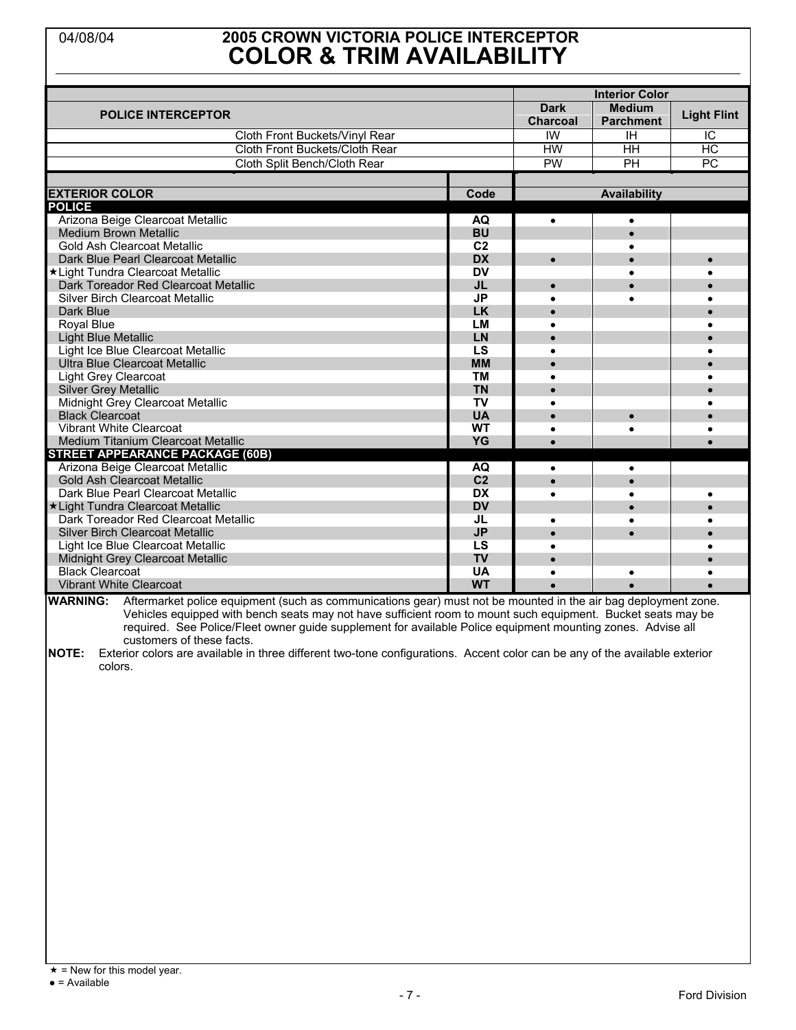### 04/08/04 **2005 CROWN VICTORIA POLICE INTERCEPTOR COLOR & TRIM AVAILABILITY**

|                                                                                                                                                                                                                                         |                |                                | <b>Interior Color</b>             |                    |
|-----------------------------------------------------------------------------------------------------------------------------------------------------------------------------------------------------------------------------------------|----------------|--------------------------------|-----------------------------------|--------------------|
| <b>POLICE INTERCEPTOR</b>                                                                                                                                                                                                               |                | <b>Dark</b><br><b>Charcoal</b> | <b>Medium</b><br><b>Parchment</b> | <b>Light Flint</b> |
| Cloth Front Buckets/Vinyl Rear                                                                                                                                                                                                          |                | $\overline{W}$                 | IH                                | IC                 |
| Cloth Front Buckets/Cloth Rear                                                                                                                                                                                                          |                | <b>HW</b>                      | HH                                | <b>HC</b>          |
| Cloth Split Bench/Cloth Rear                                                                                                                                                                                                            |                | PW                             | PH                                | PC                 |
|                                                                                                                                                                                                                                         |                |                                |                                   |                    |
| <b>EXTERIOR COLOR</b>                                                                                                                                                                                                                   | Code           |                                | Availability                      |                    |
| <b>POLICE</b>                                                                                                                                                                                                                           |                |                                |                                   |                    |
| Arizona Beige Clearcoat Metallic                                                                                                                                                                                                        | <b>AQ</b>      | $\bullet$                      |                                   |                    |
| <b>Medium Brown Metallic</b>                                                                                                                                                                                                            | <b>BU</b>      |                                | $\bullet$                         |                    |
| <b>Gold Ash Clearcoat Metallic</b>                                                                                                                                                                                                      | C <sub>2</sub> |                                |                                   |                    |
| Dark Blue Pearl Clearcoat Metallic                                                                                                                                                                                                      | <b>DX</b>      | $\bullet$                      |                                   | $\epsilon$         |
| *Light Tundra Clearcoat Metallic                                                                                                                                                                                                        | <b>DV</b>      |                                |                                   |                    |
| Dark Toreador Red Clearcoat Metallic                                                                                                                                                                                                    | <b>JL</b>      | $\bullet$                      |                                   |                    |
| <b>Silver Birch Clearcoat Metallic</b>                                                                                                                                                                                                  | <b>JP</b>      |                                |                                   |                    |
| Dark Blue                                                                                                                                                                                                                               | <b>LK</b>      |                                |                                   |                    |
| <b>Royal Blue</b>                                                                                                                                                                                                                       | <b>LM</b>      |                                |                                   |                    |
| <b>Light Blue Metallic</b>                                                                                                                                                                                                              | LN             |                                |                                   |                    |
| Light Ice Blue Clearcoat Metallic                                                                                                                                                                                                       | LS             |                                |                                   |                    |
| Ultra Blue Clearcoat Metallic                                                                                                                                                                                                           | <b>MM</b>      | $\bullet$                      |                                   |                    |
| <b>Light Grey Clearcoat</b>                                                                                                                                                                                                             | <b>TM</b>      | $\bullet$                      |                                   |                    |
| <b>Silver Grey Metallic</b>                                                                                                                                                                                                             | <b>TN</b>      |                                |                                   |                    |
| Midnight Grey Clearcoat Metallic                                                                                                                                                                                                        | <b>TV</b>      |                                |                                   |                    |
| <b>Black Clearcoat</b>                                                                                                                                                                                                                  | <b>UA</b>      |                                |                                   |                    |
| Vibrant White Clearcoat                                                                                                                                                                                                                 | <b>WT</b>      |                                |                                   |                    |
| Medium Titanium Clearcoat Metallic                                                                                                                                                                                                      | YG             |                                |                                   |                    |
| <b>STREET APPEARANCE PACKAGE (60B)</b>                                                                                                                                                                                                  |                |                                |                                   |                    |
| Arizona Beige Clearcoat Metallic                                                                                                                                                                                                        | <b>AQ</b>      | $\bullet$                      | ٠                                 |                    |
| <b>Gold Ash Clearcoat Metallic</b>                                                                                                                                                                                                      | C <sub>2</sub> |                                |                                   |                    |
| Dark Blue Pearl Clearcoat Metallic                                                                                                                                                                                                      | <b>DX</b>      |                                |                                   |                    |
| *Light Tundra Clearcoat Metallic                                                                                                                                                                                                        | <b>DV</b>      |                                |                                   |                    |
| Dark Toreador Red Clearcoat Metallic                                                                                                                                                                                                    | JL             | $\bullet$                      |                                   |                    |
| <b>Silver Birch Clearcoat Metallic</b>                                                                                                                                                                                                  | <b>JP</b>      |                                | $\bullet$                         |                    |
| LS<br>Light Ice Blue Clearcoat Metallic                                                                                                                                                                                                 |                |                                |                                   |                    |
| <b>TV</b><br>Midnight Grey Clearcoat Metallic                                                                                                                                                                                           |                |                                |                                   |                    |
| <b>Black Clearcoat</b><br><b>UA</b>                                                                                                                                                                                                     |                |                                |                                   |                    |
| <b>Vibrant White Clearcoat</b>                                                                                                                                                                                                          | <b>WT</b>      |                                |                                   |                    |
| WARNING: Aftermarket police equipment (such as communications gear) must not be mounted in the air bag deployment zone.<br>Vabicles equipped with bench seats may not have sufficient room to mount such equipment. Rucket seats may be |                |                                |                                   |                    |

Vehicles equipped with bench seats may not have sufficient room to mount such equipment. Bucket seats may be required. See Police/Fleet owner guide supplement for available Police equipment mounting zones. Advise all customers of these facts.

**NOTE:** Exterior colors are available in three different two-tone configurations. Accent color can be any of the available exterior colors.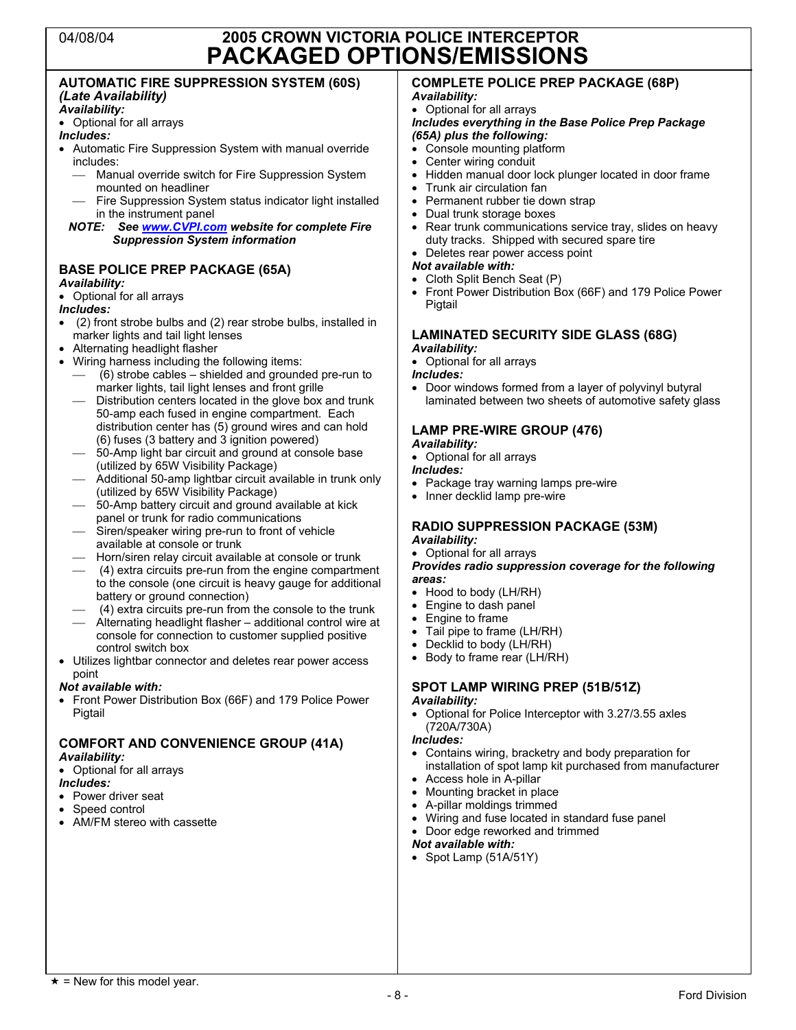### 04/08/04 **2005 CROWN VICTORIA POLICE INTERCEPTOR PACKAGED OPTIONS/EMISSIONS**

#### **AUTOMATIC FIRE SUPPRESSION SYSTEM (60S)**  *(Late Availability)*

#### *Availability:*

• Optional for all arrays

#### *Includes:*

- Automatic Fire Suppression System with manual override includes:
	- Manual override switch for Fire Suppression System mounted on headliner
	- Fire Suppression System status indicator light installed in the instrument panel

#### *NOTE: See www.CVPI.com website for complete Fire Suppression System information*

### **BASE POLICE PREP PACKAGE (65A)**

#### *Availability:*

#### • Optional for all arrays

#### *Includes:*

- (2) front strobe bulbs and (2) rear strobe bulbs, installed in marker lights and tail light lenses
- Alternating headlight flasher
- Wiring harness including the following items:
	- (6) strobe cables shielded and grounded pre-run to marker lights, tail light lenses and front grille
	- Distribution centers located in the glove box and trunk 50-amp each fused in engine compartment. Each distribution center has (5) ground wires and can hold (6) fuses (3 battery and 3 ignition powered)
	- 50-Amp light bar circuit and ground at console base (utilized by 65W Visibility Package)
	- Additional 50-amp lightbar circuit available in trunk only (utilized by 65W Visibility Package)
	- 50-Amp battery circuit and ground available at kick panel or trunk for radio communications
	- Siren/speaker wiring pre-run to front of vehicle available at console or trunk
	- Horn/siren relay circuit available at console or trunk
	- (4) extra circuits pre-run from the engine compartment to the console (one circuit is heavy gauge for additional battery or ground connection)
	- (4) extra circuits pre-run from the console to the trunk
	- Alternating headlight flasher additional control wire at console for connection to customer supplied positive control switch box
- Utilizes lightbar connector and deletes rear power access point

#### *Not available with:*

• Front Power Distribution Box (66F) and 179 Police Power **Pigtail** 

#### **COMFORT AND CONVENIENCE GROUP (41A)**  *Availability:*

#### • Optional for all arrays

- *Includes:*
- Power driver seat
- Speed control
- AM/FM stereo with cassette

#### **COMPLETE POLICE PREP PACKAGE (68P)**  *Availability:*

#### • Optional for all arrays

#### *Includes everything in the Base Police Prep Package (65A) plus the following:*

- Console mounting platform
- Center wiring conduit
- Hidden manual door lock plunger located in door frame
- Trunk air circulation fan
- Permanent rubber tie down strap
- Dual trunk storage boxes
- Rear trunk communications service tray, slides on heavy duty tracks. Shipped with secured spare tire
- Deletes rear power access point

#### *Not available with:*

- Cloth Split Bench Seat (P)
- Front Power Distribution Box (66F) and 179 Police Power Pigtail

#### **LAMINATED SECURITY SIDE GLASS (68G)**  *Availability:*

• Optional for all arrays

#### *Includes:*

• Door windows formed from a layer of polyvinyl butyral laminated between two sheets of automotive safety glass

### **LAMP PRE-WIRE GROUP (476)**

- *Availability:*
- Optional for all arrays
- *Includes:*
- Package tray warning lamps pre-wire
- Inner decklid lamp pre-wire

#### **RADIO SUPPRESSION PACKAGE (53M)**  *Availability:*

#### • Optional for all arrays

*Provides radio suppression coverage for the following areas:*

- Hood to body (LH/RH)
- Engine to dash panel
- Engine to frame
- Tail pipe to frame (LH/RH)
- Decklid to body (LH/RH)
- Body to frame rear (LH/RH)
- **SPOT LAMP WIRING PREP (51B/51Z)**

### *Availability:*

• Optional for Police Interceptor with 3.27/3.55 axles (720A/730A)

*Includes:*

- Contains wiring, bracketry and body preparation for installation of spot lamp kit purchased from manufacturer
- Access hole in A-pillar
- Mounting bracket in place
- A-pillar moldings trimmed
- Wiring and fuse located in standard fuse panel
- Door edge reworked and trimmed

#### *Not available with:*

• Spot Lamp (51A/51Y)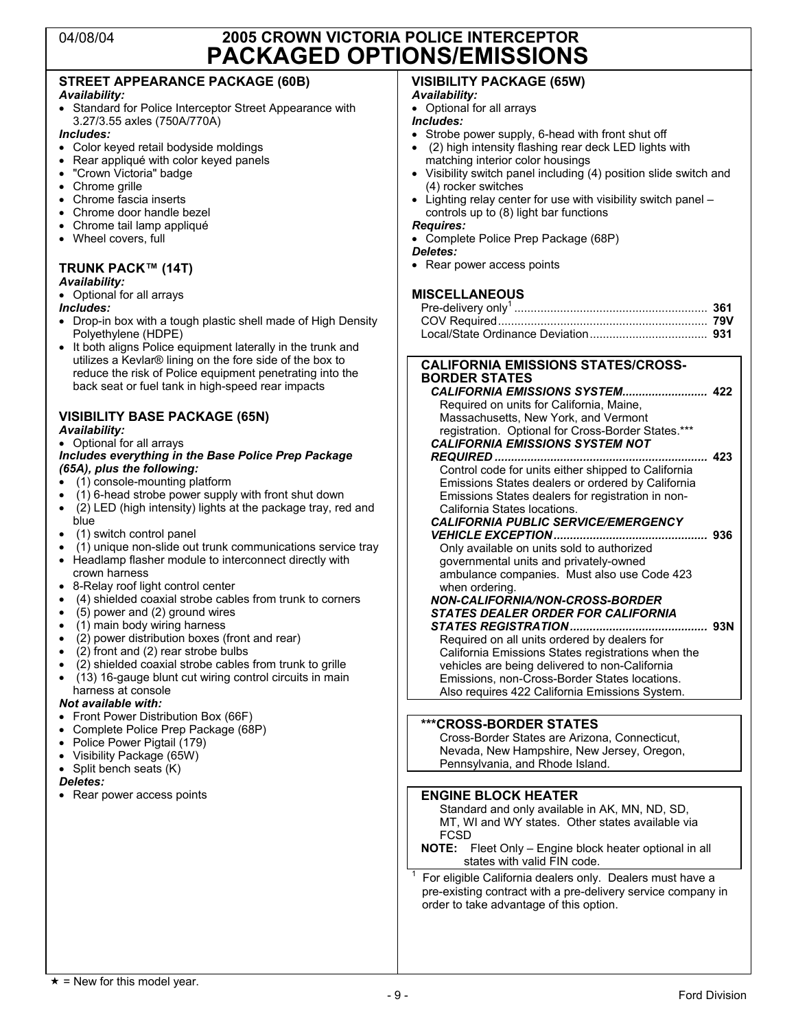### 04/08/04 **2005 CROWN VICTORIA POLICE INTERCEPTOR PACKAGED OPTIONS/EMISSIONS**

### **STREET APPEARANCE PACKAGE (60B)**

#### *Availability:*

• Standard for Police Interceptor Street Appearance with 3.27/3.55 axles (750A/770A)

*Includes:*

- Color keyed retail bodyside moldings
- Rear appliqué with color keyed panels
- "Crown Victoria" badge<br>• Chrome grille
- Chrome grille
- Chrome fascia inserts
- Chrome door handle bezel
- Chrome tail lamp appliqué
- Wheel covers, full

#### **TRUNK PACK™ (14T)**  *Availability:*

• Optional for all arrays

#### *Includes:*

- Drop-in box with a tough plastic shell made of High Density Polyethylene (HDPE)
- It both aligns Police equipment laterally in the trunk and utilizes a Kevlar® lining on the fore side of the box to reduce the risk of Police equipment penetrating into the back seat or fuel tank in high-speed rear impacts

#### **VISIBILITY BASE PACKAGE (65N)**  *Availability:*

#### • Optional for all arrays

#### *Includes everything in the Base Police Prep Package (65A), plus the following:*

- (1) console-mounting platform
- (1) 6-head strobe power supply with front shut down
- (2) LED (high intensity) lights at the package tray, red and blue
- (1) switch control panel
- (1) unique non-slide out trunk communications service tray
- Headlamp flasher module to interconnect directly with crown harness
- 8-Relay roof light control center
- (4) shielded coaxial strobe cables from trunk to corners
- (5) power and (2) ground wires
- (1) main body wiring harness
- (2) power distribution boxes (front and rear)
- (2) front and (2) rear strobe bulbs
- $\bullet$  (2) shielded coaxial strobe cables from trunk to grille
- (13) 16-gauge blunt cut wiring control circuits in main harness at console

#### *Not available with:*

- Front Power Distribution Box (66F)
- Complete Police Prep Package (68P)
- Police Power Pigtail (179)
- Visibility Package (65W)
- Split bench seats (K)

#### *Deletes:*

• Rear power access points

### **VISIBILITY PACKAGE (65W)**

#### *Availability:*

- Optional for all arrays
- *Includes:*
- Strobe power supply, 6-head with front shut off
- (2) high intensity flashing rear deck LED lights with matching interior color housings
- Visibility switch panel including (4) position slide switch and (4) rocker switches
- Lighting relay center for use with visibility switch panel controls up to (8) light bar functions

#### *Requires:*

- Complete Police Prep Package (68P) *Deletes:*
- Rear power access points

#### **MISCELLANEOUS**

#### **CALIFORNIA EMISSIONS STATES/CROSS-BORDER STATES**

| Required on units for California, Maine,            |     |
|-----------------------------------------------------|-----|
| Massachusetts, New York, and Vermont                |     |
| registration. Optional for Cross-Border States.***  |     |
| <b>CALIFORNIA EMISSIONS SYSTEM NOT</b>              |     |
|                                                     | 423 |
| Control code for units either shipped to California |     |
| Emissions States dealers or ordered by California   |     |
| Emissions States dealers for registration in non-   |     |
| California States locations.                        |     |
| <b>CALIFORNIA PUBLIC SERVICE/EMERGENCY</b>          |     |
| <b>VEHICLE EXCEPTION</b>                            | 936 |
| Only available on units sold to authorized          |     |
| governmental units and privately-owned              |     |
| ambulance companies. Must also use Code 423         |     |
| when ordering.                                      |     |

#### *NON-CALIFORNIA/NON-CROSS-BORDER*

*STATES DEALER ORDER FOR CALIFORNIA STATES REGISTRATION..........................................* **93N** Required on all units ordered by dealers for California Emissions States registrations when the vehicles are being delivered to non-California Emissions, non-Cross-Border States locations. Also requires 422 California Emissions System.

#### **\*\*\*CROSS-BORDER STATES**

Cross-Border States are Arizona, Connecticut, Nevada, New Hampshire, New Jersey, Oregon, Pennsylvania, and Rhode Island.

#### **ENGINE BLOCK HEATER**

Standard and only available in AK, MN, ND, SD, MT, WI and WY states. Other states available via **FCSD** 

**NOTE:** Fleet Only – Engine block heater optional in all states with valid FIN code.

 For eligible California dealers only. Dealers must have a pre-existing contract with a pre-delivery service company in order to take advantage of this option.